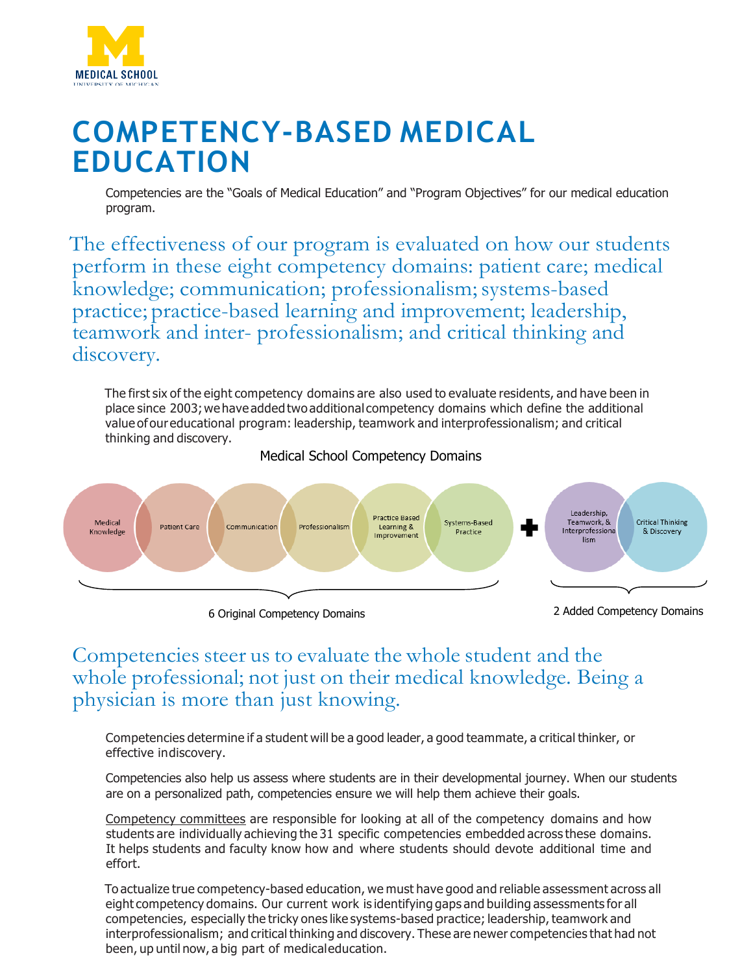

## **COMPETENCY-BASED MEDICAL EDUCATION**

Competencies are the "Goals of Medical Education" and "Program Objectives" for our medical education program.

The effectiveness of our program is evaluated on how our students perform in these eight competency domains: patient care; medical knowledge; communication; professionalism; systems-based practice; practice-based learning and improvement; leadership, teamwork and inter- professionalism; and critical thinking and discovery.

The first six of the eight competency domains are also used to evaluate residents, and have been in place since 2003;wehave added two additional competency domains which define the additional value ofour educational program: leadership, teamwork and interprofessionalism; and critical thinking and discovery.



## Medical School Competency Domains

6 Original Competency Domains

2 Added Competency Domains

## Competencies steer us to evaluate the whole student and the whole professional; not just on their medical knowledge. Being a physician is more than just knowing.

Competencies determine if a student will be a good leader, a good teammate, a critical thinker, or effective indiscovery.

Competencies also help us assess where students are in their developmental journey. When our students are on a personalized path, competencies ensure we will help them achieve their goals.

Competency committees are responsible for looking at all of the competency domains and how students are individually achieving the 31 specific competencies embedded across these domains. It helps students and faculty know how and where students should devote additional time and effort.

To actualize true competency-based education, we must have good and reliable assessment across all eight competency domains. Our current work is identifying gaps and building assessments for all competencies, especially the tricky ones like systems-based practice; leadership, teamwork and interprofessionalism; and critical thinking and discovery. These are newer competencies that had not been, up until now, a big part of medicaleducation.